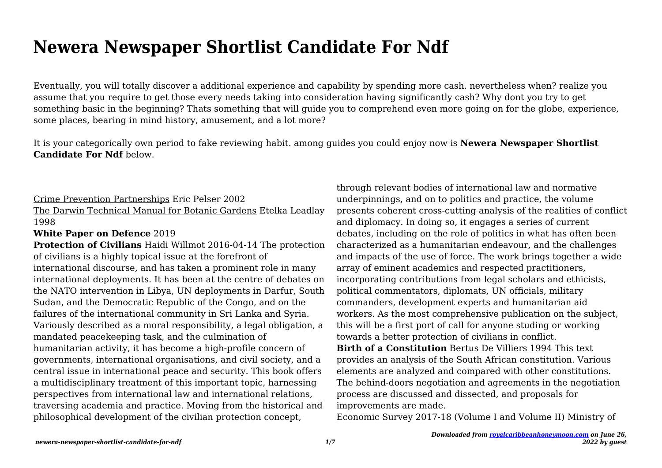# **Newera Newspaper Shortlist Candidate For Ndf**

Eventually, you will totally discover a additional experience and capability by spending more cash. nevertheless when? realize you assume that you require to get those every needs taking into consideration having significantly cash? Why dont you try to get something basic in the beginning? Thats something that will guide you to comprehend even more going on for the globe, experience, some places, bearing in mind history, amusement, and a lot more?

It is your categorically own period to fake reviewing habit. among guides you could enjoy now is **Newera Newspaper Shortlist Candidate For Ndf** below.

#### Crime Prevention Partnerships Eric Pelser 2002

The Darwin Technical Manual for Botanic Gardens Etelka Leadlay 1998

### **White Paper on Defence** 2019

**Protection of Civilians** Haidi Willmot 2016-04-14 The protection of civilians is a highly topical issue at the forefront of international discourse, and has taken a prominent role in many international deployments. It has been at the centre of debates on the NATO intervention in Libya, UN deployments in Darfur, South Sudan, and the Democratic Republic of the Congo, and on the failures of the international community in Sri Lanka and Syria. Variously described as a moral responsibility, a legal obligation, a mandated peacekeeping task, and the culmination of humanitarian activity, it has become a high-profile concern of governments, international organisations, and civil society, and a central issue in international peace and security. This book offers a multidisciplinary treatment of this important topic, harnessing perspectives from international law and international relations, traversing academia and practice. Moving from the historical and philosophical development of the civilian protection concept,

through relevant bodies of international law and normative underpinnings, and on to politics and practice, the volume presents coherent cross-cutting analysis of the realities of conflict and diplomacy. In doing so, it engages a series of current debates, including on the role of politics in what has often been characterized as a humanitarian endeavour, and the challenges and impacts of the use of force. The work brings together a wide array of eminent academics and respected practitioners, incorporating contributions from legal scholars and ethicists, political commentators, diplomats, UN officials, military commanders, development experts and humanitarian aid workers. As the most comprehensive publication on the subject, this will be a first port of call for anyone studing or working towards a better protection of civilians in conflict.

**Birth of a Constitution** Bertus De Villiers 1994 This text provides an analysis of the South African constitution. Various elements are analyzed and compared with other constitutions. The behind-doors negotiation and agreements in the negotiation process are discussed and dissected, and proposals for improvements are made.

Economic Survey 2017-18 (Volume I and Volume II) Ministry of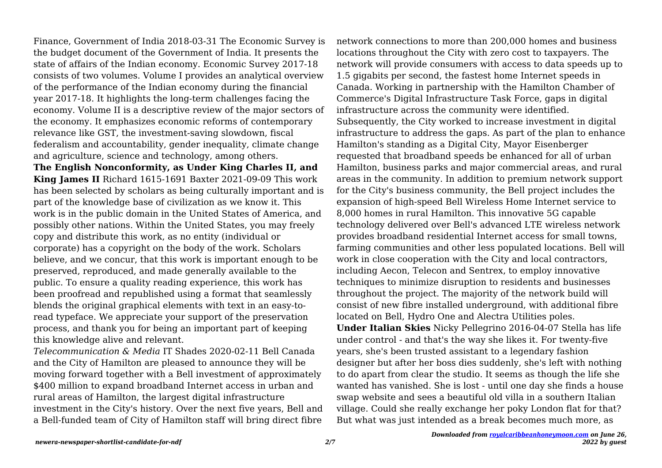Finance, Government of India 2018-03-31 The Economic Survey is the budget document of the Government of India. It presents the state of affairs of the Indian economy. Economic Survey 2017-18 consists of two volumes. Volume I provides an analytical overview of the performance of the Indian economy during the financial year 2017-18. It highlights the long-term challenges facing the economy. Volume II is a descriptive review of the major sectors of the economy. It emphasizes economic reforms of contemporary relevance like GST, the investment-saving slowdown, fiscal federalism and accountability, gender inequality, climate change and agriculture, science and technology, among others.

**The English Nonconformity, as Under King Charles II, and King James II** Richard 1615-1691 Baxter 2021-09-09 This work has been selected by scholars as being culturally important and is part of the knowledge base of civilization as we know it. This work is in the public domain in the United States of America, and possibly other nations. Within the United States, you may freely copy and distribute this work, as no entity (individual or corporate) has a copyright on the body of the work. Scholars believe, and we concur, that this work is important enough to be preserved, reproduced, and made generally available to the public. To ensure a quality reading experience, this work has been proofread and republished using a format that seamlessly blends the original graphical elements with text in an easy-toread typeface. We appreciate your support of the preservation process, and thank you for being an important part of keeping this knowledge alive and relevant.

*Telecommunication & Media* IT Shades 2020-02-11 Bell Canada and the City of Hamilton are pleased to announce they will be moving forward together with a Bell investment of approximately \$400 million to expand broadband Internet access in urban and rural areas of Hamilton, the largest digital infrastructure investment in the City's history. Over the next five years, Bell and a Bell-funded team of City of Hamilton staff will bring direct fibre

network connections to more than 200,000 homes and business locations throughout the City with zero cost to taxpayers. The network will provide consumers with access to data speeds up to 1.5 gigabits per second, the fastest home Internet speeds in Canada. Working in partnership with the Hamilton Chamber of Commerce's Digital Infrastructure Task Force, gaps in digital infrastructure across the community were identified. Subsequently, the City worked to increase investment in digital infrastructure to address the gaps. As part of the plan to enhance Hamilton's standing as a Digital City, Mayor Eisenberger requested that broadband speeds be enhanced for all of urban Hamilton, business parks and major commercial areas, and rural areas in the community. In addition to premium network support for the City's business community, the Bell project includes the expansion of high-speed Bell Wireless Home Internet service to 8,000 homes in rural Hamilton. This innovative 5G capable technology delivered over Bell's advanced LTE wireless network provides broadband residential Internet access for small towns, farming communities and other less populated locations. Bell will work in close cooperation with the City and local contractors, including Aecon, Telecon and Sentrex, to employ innovative techniques to minimize disruption to residents and businesses throughout the project. The majority of the network build will consist of new fibre installed underground, with additional fibre located on Bell, Hydro One and Alectra Utilities poles. **Under Italian Skies** Nicky Pellegrino 2016-04-07 Stella has life under control - and that's the way she likes it. For twenty-five years, she's been trusted assistant to a legendary fashion

designer but after her boss dies suddenly, she's left with nothing to do apart from clear the studio. It seems as though the life she wanted has vanished. She is lost - until one day she finds a house swap website and sees a beautiful old villa in a southern Italian village. Could she really exchange her poky London flat for that? But what was just intended as a break becomes much more, as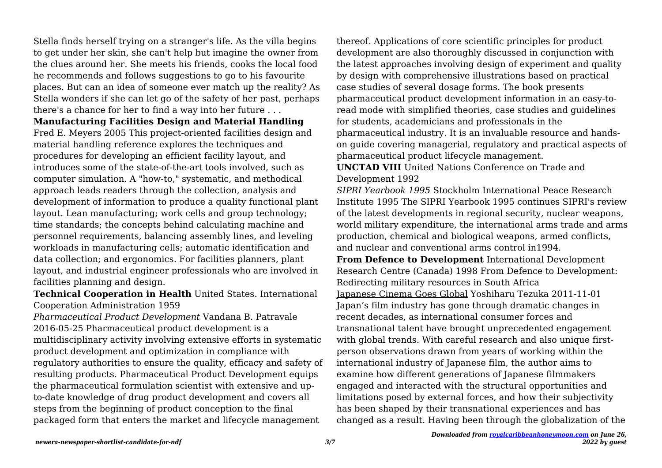Stella finds herself trying on a stranger's life. As the villa begins to get under her skin, she can't help but imagine the owner from the clues around her. She meets his friends, cooks the local food he recommends and follows suggestions to go to his favourite places. But can an idea of someone ever match up the reality? As Stella wonders if she can let go of the safety of her past, perhaps there's a chance for her to find a way into her future . . .

**Manufacturing Facilities Design and Material Handling**

Fred E. Meyers 2005 This project-oriented facilities design and material handling reference explores the techniques and procedures for developing an efficient facility layout, and introduces some of the state-of-the-art tools involved, such as computer simulation. A "how-to," systematic, and methodical approach leads readers through the collection, analysis and development of information to produce a quality functional plant layout. Lean manufacturing; work cells and group technology; time standards; the concepts behind calculating machine and personnel requirements, balancing assembly lines, and leveling workloads in manufacturing cells; automatic identification and data collection; and ergonomics. For facilities planners, plant layout, and industrial engineer professionals who are involved in facilities planning and design.

**Technical Cooperation in Health** United States. International Cooperation Administration 1959

*Pharmaceutical Product Development* Vandana B. Patravale 2016-05-25 Pharmaceutical product development is a multidisciplinary activity involving extensive efforts in systematic product development and optimization in compliance with regulatory authorities to ensure the quality, efficacy and safety of resulting products. Pharmaceutical Product Development equips the pharmaceutical formulation scientist with extensive and upto-date knowledge of drug product development and covers all steps from the beginning of product conception to the final packaged form that enters the market and lifecycle management

thereof. Applications of core scientific principles for product development are also thoroughly discussed in conjunction with the latest approaches involving design of experiment and quality by design with comprehensive illustrations based on practical case studies of several dosage forms. The book presents pharmaceutical product development information in an easy-toread mode with simplified theories, case studies and guidelines for students, academicians and professionals in the pharmaceutical industry. It is an invaluable resource and handson guide covering managerial, regulatory and practical aspects of pharmaceutical product lifecycle management.

**UNCTAD VIII** United Nations Conference on Trade and Development 1992

*SIPRI Yearbook 1995* Stockholm International Peace Research Institute 1995 The SIPRI Yearbook 1995 continues SIPRI's review of the latest developments in regional security, nuclear weapons, world military expenditure, the international arms trade and arms production, chemical and biological weapons, armed conflicts, and nuclear and conventional arms control in1994.

**From Defence to Development** International Development Research Centre (Canada) 1998 From Defence to Development: Redirecting military resources in South Africa Japanese Cinema Goes Global Yoshiharu Tezuka 2011-11-01 Japan's film industry has gone through dramatic changes in recent decades, as international consumer forces and transnational talent have brought unprecedented engagement with global trends. With careful research and also unique firstperson observations drawn from years of working within the international industry of Japanese film, the author aims to examine how different generations of Japanese filmmakers engaged and interacted with the structural opportunities and limitations posed by external forces, and how their subjectivity has been shaped by their transnational experiences and has changed as a result. Having been through the globalization of the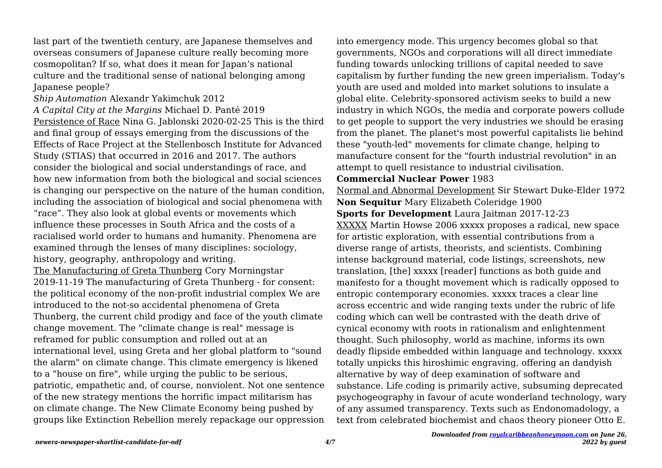last part of the twentieth century, are Japanese themselves and overseas consumers of Japanese culture really becoming more cosmopolitan? If so, what does it mean for Japan's national culture and the traditional sense of national belonging among Japanese people?

*Ship Automation* Alexandr Yakimchuk 2012 *A Capital City at the Margins* Michael D. Panté 2019 Persistence of Race Nina G. Jablonski 2020-02-25 This is the third and final group of essays emerging from the discussions of the Effects of Race Project at the Stellenbosch Institute for Advanced Study (STIAS) that occurred in 2016 and 2017. The authors consider the biological and social understandings of race, and how new information from both the biological and social sciences is changing our perspective on the nature of the human condition, including the association of biological and social phenomena with "race". They also look at global events or movements which influence these processes in South Africa and the costs of a racialised world order to humans and humanity. Phenomena are examined through the lenses of many disciplines: sociology, history, geography, anthropology and writing.

The Manufacturing of Greta Thunberg Cory Morningstar 2019-11-19 The manufacturing of Greta Thunberg - for consent: the political economy of the non-profit industrial complex We are introduced to the not-so accidental phenomena of Greta Thunberg, the current child prodigy and face of the youth climate change movement. The "climate change is real" message is reframed for public consumption and rolled out at an international level, using Greta and her global platform to "sound the alarm" on climate change. This climate emergency is likened to a "house on fire", while urging the public to be serious, patriotic, empathetic and, of course, nonviolent. Not one sentence of the new strategy mentions the horrific impact militarism has on climate change. The New Climate Economy being pushed by groups like Extinction Rebellion merely repackage our oppression

into emergency mode. This urgency becomes global so that governments, NGOs and corporations will all direct immediate funding towards unlocking trillions of capital needed to save capitalism by further funding the new green imperialism. Today's youth are used and molded into market solutions to insulate a global elite. Celebrity-sponsored activism seeks to build a new industry in which NGOs, the media and corporate powers collude to get people to support the very industries we should be erasing from the planet. The planet's most powerful capitalists lie behind these "youth-led" movements for climate change, helping to manufacture consent for the "fourth industrial revolution" in an attempt to quell resistance to industrial civilisation.

#### **Commercial Nuclear Power** 1983

Normal and Abnormal Development Sir Stewart Duke-Elder 1972 **Non Sequitur** Mary Elizabeth Coleridge 1900

**Sports for Development** Laura Jaitman 2017-12-23

XXXXX Martin Howse 2006 xxxxx proposes a radical, new space for artistic exploration, with essential contributions from a diverse range of artists, theorists, and scientists. Combining intense background material, code listings, screenshots, new translation, [the] xxxxx [reader] functions as both guide and manifesto for a thought movement which is radically opposed to entropic contemporary economies. xxxxx traces a clear line across eccentric and wide ranging texts under the rubric of life coding which can well be contrasted with the death drive of cynical economy with roots in rationalism and enlightenment thought. Such philosophy, world as machine, informs its own deadly flipside embedded within language and technology. xxxxx totally unpicks this hiroshimic engraving, offering an dandyish alternative by way of deep examination of software and substance. Life coding is primarily active, subsuming deprecated psychogeography in favour of acute wonderland technology, wary of any assumed transparency. Texts such as Endonomadology, a text from celebrated biochemist and chaos theory pioneer Otto E.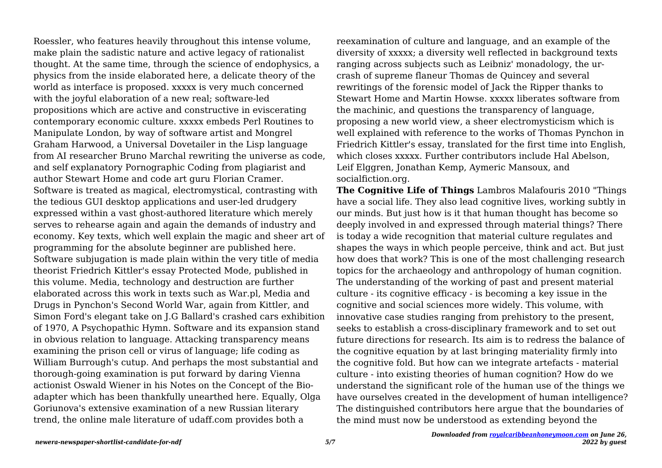Roessler, who features heavily throughout this intense volume, make plain the sadistic nature and active legacy of rationalist thought. At the same time, through the science of endophysics, a physics from the inside elaborated here, a delicate theory of the world as interface is proposed. xxxxx is very much concerned with the joyful elaboration of a new real; software-led propositions which are active and constructive in eviscerating contemporary economic culture. xxxxx embeds Perl Routines to Manipulate London, by way of software artist and Mongrel Graham Harwood, a Universal Dovetailer in the Lisp language from AI researcher Bruno Marchal rewriting the universe as code, and self explanatory Pornographic Coding from plagiarist and author Stewart Home and code art guru Florian Cramer. Software is treated as magical, electromystical, contrasting with the tedious GUI desktop applications and user-led drudgery expressed within a vast ghost-authored literature which merely serves to rehearse again and again the demands of industry and economy. Key texts, which well explain the magic and sheer art of programming for the absolute beginner are published here. Software subjugation is made plain within the very title of media theorist Friedrich Kittler's essay Protected Mode, published in this volume. Media, technology and destruction are further elaborated across this work in texts such as War.pl, Media and Drugs in Pynchon's Second World War, again from Kittler, and Simon Ford's elegant take on J.G Ballard's crashed cars exhibition of 1970, A Psychopathic Hymn. Software and its expansion stand in obvious relation to language. Attacking transparency means examining the prison cell or virus of language; life coding as William Burrough's cutup. And perhaps the most substantial and thorough-going examination is put forward by daring Vienna actionist Oswald Wiener in his Notes on the Concept of the Bioadapter which has been thankfully unearthed here. Equally, Olga Goriunova's extensive examination of a new Russian literary trend, the online male literature of udaff.com provides both a

reexamination of culture and language, and an example of the diversity of xxxxx; a diversity well reflected in background texts ranging across subjects such as Leibniz' monadology, the urcrash of supreme flaneur Thomas de Quincey and several rewritings of the forensic model of Jack the Ripper thanks to Stewart Home and Martin Howse. xxxxx liberates software from the machinic, and questions the transparency of language, proposing a new world view, a sheer electromysticism which is well explained with reference to the works of Thomas Pynchon in Friedrich Kittler's essay, translated for the first time into English, which closes xxxxx. Further contributors include Hal Abelson, Leif Elggren, Jonathan Kemp, Aymeric Mansoux, and socialfiction.org.

**The Cognitive Life of Things** Lambros Malafouris 2010 "Things have a social life. They also lead cognitive lives, working subtly in our minds. But just how is it that human thought has become so deeply involved in and expressed through material things? There is today a wide recognition that material culture regulates and shapes the ways in which people perceive, think and act. But just how does that work? This is one of the most challenging research topics for the archaeology and anthropology of human cognition. The understanding of the working of past and present material culture - its cognitive efficacy - is becoming a key issue in the cognitive and social sciences more widely. This volume, with innovative case studies ranging from prehistory to the present, seeks to establish a cross-disciplinary framework and to set out future directions for research. Its aim is to redress the balance of the cognitive equation by at last bringing materiality firmly into the cognitive fold. But how can we integrate artefacts - material culture - into existing theories of human cognition? How do we understand the significant role of the human use of the things we have ourselves created in the development of human intelligence? The distinguished contributors here argue that the boundaries of the mind must now be understood as extending beyond the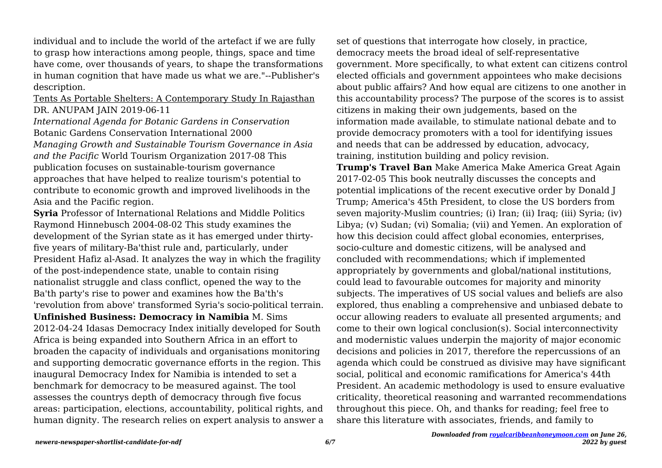individual and to include the world of the artefact if we are fully to grasp how interactions among people, things, space and time have come, over thousands of years, to shape the transformations in human cognition that have made us what we are."--Publisher's description.

## Tents As Portable Shelters: A Contemporary Study In Rajasthan DR. ANUPAM JAIN 2019-06-11

*International Agenda for Botanic Gardens in Conservation* Botanic Gardens Conservation International 2000 *Managing Growth and Sustainable Tourism Governance in Asia and the Pacific* World Tourism Organization 2017-08 This publication focuses on sustainable-tourism governance approaches that have helped to realize tourism's potential to contribute to economic growth and improved livelihoods in the Asia and the Pacific region.

**Syria** Professor of International Relations and Middle Politics Raymond Hinnebusch 2004-08-02 This study examines the development of the Syrian state as it has emerged under thirtyfive years of military-Ba'thist rule and, particularly, under President Hafiz al-Asad. It analyzes the way in which the fragility of the post-independence state, unable to contain rising nationalist struggle and class conflict, opened the way to the Ba'th party's rise to power and examines how the Ba'th's 'revolution from above' transformed Syria's socio-political terrain. **Unfinished Business: Democracy in Namibia** M. Sims 2012-04-24 Idasas Democracy Index initially developed for South Africa is being expanded into Southern Africa in an effort to broaden the capacity of individuals and organisations monitoring and supporting democratic governance efforts in the region. This inaugural Democracy Index for Namibia is intended to set a benchmark for democracy to be measured against. The tool assesses the countrys depth of democracy through five focus areas: participation, elections, accountability, political rights, and human dignity. The research relies on expert analysis to answer a set of questions that interrogate how closely, in practice, democracy meets the broad ideal of self-representative government. More specifically, to what extent can citizens control elected officials and government appointees who make decisions about public affairs? And how equal are citizens to one another in this accountability process? The purpose of the scores is to assist citizens in making their own judgements, based on the information made available, to stimulate national debate and to provide democracy promoters with a tool for identifying issues and needs that can be addressed by education, advocacy, training, institution building and policy revision.

**Trump's Travel Ban** Make America Make America Great Again 2017-02-05 This book neutrally discusses the concepts and potential implications of the recent executive order by Donald J Trump; America's 45th President, to close the US borders from seven majority-Muslim countries; (i) Iran; (ii) Iraq; (iii) Syria; (iv) Libya; (v) Sudan; (vi) Somalia; (vii) and Yemen. An exploration of how this decision could affect global economies, enterprises, socio-culture and domestic citizens, will be analysed and concluded with recommendations; which if implemented appropriately by governments and global/national institutions, could lead to favourable outcomes for majority and minority subjects. The imperatives of US social values and beliefs are also explored, thus enabling a comprehensive and unbiased debate to occur allowing readers to evaluate all presented arguments; and come to their own logical conclusion(s). Social interconnectivity and modernistic values underpin the majority of major economic decisions and policies in 2017, therefore the repercussions of an agenda which could be construed as divisive may have significant social, political and economic ramifications for America's 44th President. An academic methodology is used to ensure evaluative criticality, theoretical reasoning and warranted recommendations throughout this piece. Oh, and thanks for reading; feel free to share this literature with associates, friends, and family to